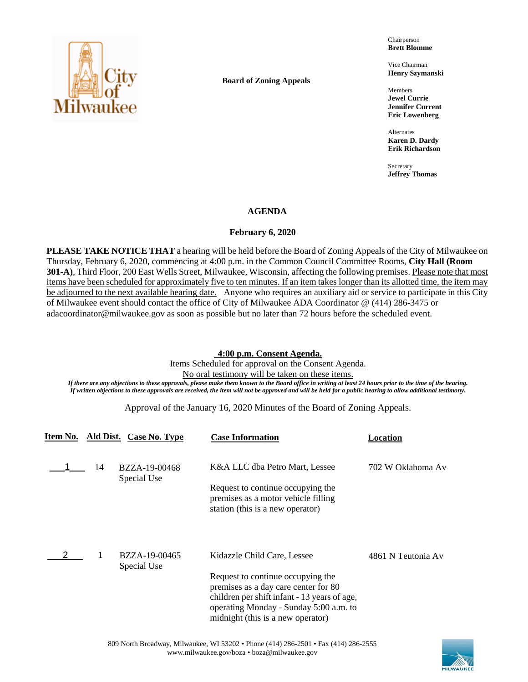

**Board of Zoning Appeals**

Chairperson **Brett Blomme**

Vice Chairman **Henry Szymanski**

Members **Jewel Currie Jennifer Current Eric Lowenberg**

Alternates **Karen D. Dardy Erik Richardson**

Secretary **Jeffrey Thomas**

### **AGENDA**

### **February 6, 2020**

**PLEASE TAKE NOTICE THAT** a hearing will be held before the Board of Zoning Appeals of the City of Milwaukee on Thursday, February 6, 2020, commencing at 4:00 p.m. in the Common Council Committee Rooms, **City Hall (Room 301-A)**, Third Floor, 200 East Wells Street, Milwaukee, Wisconsin, affecting the following premises. Please note that most items have been scheduled for approximately five to ten minutes. If an item takes longer than its allotted time, the item may be adjourned to the next available hearing date. Anyone who requires an auxiliary aid or service to participate in this City of Milwaukee event should contact the office of City of Milwaukee ADA Coordinator @ (414) 286-3475 or adacoordinator@milwaukee.gov as soon as possible but no later than 72 hours before the scheduled event.

### **4:00 p.m. Consent Agenda.**

Items Scheduled for approval on the Consent Agenda. No oral testimony will be taken on these items.

*If there are any objections to these approvals, please make them known to the Board office in writing at least 24 hours prior to the time of the hearing. If written objections to these approvals are received, the item will not be approved and will be held for a public hearing to allow additional testimony.*

Approval of the January 16, 2020 Minutes of the Board of Zoning Appeals.

|    | Item No. Ald Dist. Case No. Type | <b>Case Information</b>                                                                                                                                                                                  | Location           |
|----|----------------------------------|----------------------------------------------------------------------------------------------------------------------------------------------------------------------------------------------------------|--------------------|
| 14 | BZZA-19-00468<br>Special Use     | K&A LLC dba Petro Mart, Lessee                                                                                                                                                                           | 702 W Oklahoma Av  |
|    |                                  | Request to continue occupying the<br>premises as a motor vehicle filling<br>station (this is a new operator)                                                                                             |                    |
|    | BZZA-19-00465                    | Kidazzle Child Care, Lessee                                                                                                                                                                              | 4861 N Teutonia Av |
|    | Special Use                      | Request to continue occupying the<br>premises as a day care center for 80<br>children per shift infant - 13 years of age,<br>operating Monday - Sunday 5:00 a.m. to<br>midnight (this is a new operator) |                    |

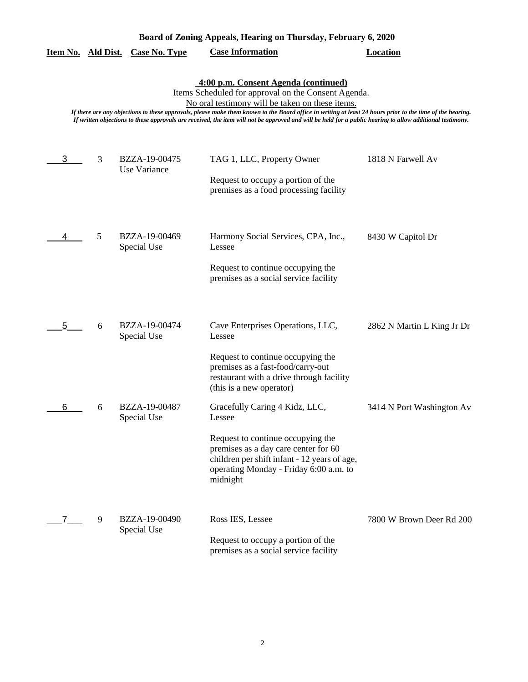| Board of Zoning Appeals, Hearing on Thursday, February 6, 2020 |  |  |  |
|----------------------------------------------------------------|--|--|--|
|                                                                |  |  |  |

|  | Item No. Ald Dist. Case No. Type | <b>Case Information</b> | Location |
|--|----------------------------------|-------------------------|----------|
|  |                                  |                         |          |

## **4:00 p.m. Consent Agenda (continued)**

Items Scheduled for approval on the Consent Agenda.

No oral testimony will be taken on these items.

*If there are any objections to these approvals, please make them known to the Board office in writing at least 24 hours prior to the time of the hearing. If written objections to these approvals are received, the item will not be approved and will be held for a public hearing to allow additional testimony.*

| З | 3 | BZZA-19-00475<br>Use Variance | TAG 1, LLC, Property Owner<br>Request to occupy a portion of the<br>premises as a food processing facility                                                                                                                  | 1818 N Farwell Av          |
|---|---|-------------------------------|-----------------------------------------------------------------------------------------------------------------------------------------------------------------------------------------------------------------------------|----------------------------|
| 4 | 5 | BZZA-19-00469<br>Special Use  | Harmony Social Services, CPA, Inc.,<br>Lessee<br>Request to continue occupying the<br>premises as a social service facility                                                                                                 | 8430 W Capitol Dr          |
| 5 | 6 | BZZA-19-00474<br>Special Use  | Cave Enterprises Operations, LLC,<br>Lessee<br>Request to continue occupying the<br>premises as a fast-food/carry-out<br>restaurant with a drive through facility<br>(this is a new operator)                               | 2862 N Martin L King Jr Dr |
| 6 | 6 | BZZA-19-00487<br>Special Use  | Gracefully Caring 4 Kidz, LLC,<br>Lessee<br>Request to continue occupying the<br>premises as a day care center for 60<br>children per shift infant - 12 years of age,<br>operating Monday - Friday 6:00 a.m. to<br>midnight | 3414 N Port Washington Av  |
|   | 9 | BZZA-19-00490<br>Special Use  | Ross IES, Lessee<br>Request to occupy a portion of the<br>premises as a social service facility                                                                                                                             | 7800 W Brown Deer Rd 200   |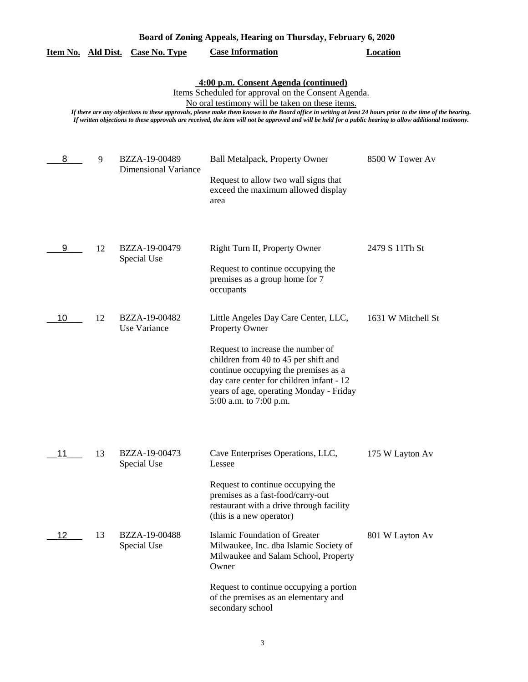| 4:00 p.m. Consent Agenda (continued)<br>Items Scheduled for approval on the Consent Agenda.<br>No oral testimony will be taken on these items.<br>If there are any objections to these approvals, please make them known to the Board office in writing at least 24 hours prior to the time of the hearing.<br>If written objections to these approvals are received, the item will not be approved and will be held for a public hearing to allow additional testimony. |    |                                              |                                                                                                                                                                                                                                                                                                     |                    |  |
|--------------------------------------------------------------------------------------------------------------------------------------------------------------------------------------------------------------------------------------------------------------------------------------------------------------------------------------------------------------------------------------------------------------------------------------------------------------------------|----|----------------------------------------------|-----------------------------------------------------------------------------------------------------------------------------------------------------------------------------------------------------------------------------------------------------------------------------------------------------|--------------------|--|
| 8                                                                                                                                                                                                                                                                                                                                                                                                                                                                        | 9  | BZZA-19-00489<br><b>Dimensional Variance</b> | <b>Ball Metalpack, Property Owner</b><br>Request to allow two wall signs that<br>exceed the maximum allowed display<br>area                                                                                                                                                                         | 8500 W Tower Av    |  |
| 9                                                                                                                                                                                                                                                                                                                                                                                                                                                                        | 12 | BZZA-19-00479<br>Special Use                 | Right Turn II, Property Owner<br>Request to continue occupying the<br>premises as a group home for 7<br>occupants                                                                                                                                                                                   | 2479 S 11Th St     |  |
| 10                                                                                                                                                                                                                                                                                                                                                                                                                                                                       | 12 | BZZA-19-00482<br>Use Variance                | Little Angeles Day Care Center, LLC,<br><b>Property Owner</b><br>Request to increase the number of<br>children from 40 to 45 per shift and<br>continue occupying the premises as a<br>day care center for children infant - 12<br>years of age, operating Monday - Friday<br>5:00 a.m. to 7:00 p.m. | 1631 W Mitchell St |  |
| 11                                                                                                                                                                                                                                                                                                                                                                                                                                                                       | 13 | BZZA-19-00473<br>Special Use                 | Cave Enterprises Operations, LLC,<br>Lessee<br>Request to continue occupying the<br>premises as a fast-food/carry-out<br>restaurant with a drive through facility<br>(this is a new operator)                                                                                                       | 175 W Layton Av    |  |
| 12                                                                                                                                                                                                                                                                                                                                                                                                                                                                       | 13 | BZZA-19-00488<br>Special Use                 | Islamic Foundation of Greater<br>Milwaukee, Inc. dba Islamic Society of<br>Milwaukee and Salam School, Property<br>Owner<br>Request to continue occupying a portion<br>of the premises as an elementary and<br>secondary school                                                                     | 801 W Layton Av    |  |

**Board of Zoning Appeals, Hearing on Thursday, February 6, 2020** 

**Item No. Ald Dist. Case No. Type Case Information Location**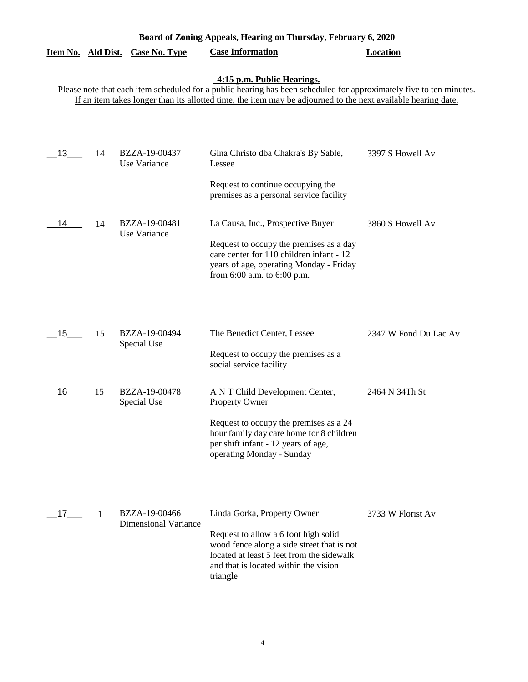|                    | Board of Zoning Appeals, Hearing on Thursday, February 6, 2020 |                                              |                                                                                                                                                                                      |                       |  |  |
|--------------------|----------------------------------------------------------------|----------------------------------------------|--------------------------------------------------------------------------------------------------------------------------------------------------------------------------------------|-----------------------|--|--|
| Item No. Ald Dist. |                                                                | <b>Case No. Type</b>                         | <b>Case Information</b>                                                                                                                                                              | <b>Location</b>       |  |  |
|                    |                                                                |                                              | 4:15 p.m. Public Hearings.<br>Please note that each item scheduled for a public hearing has been scheduled for approximately five to ten minutes.                                    |                       |  |  |
|                    |                                                                |                                              | If an item takes longer than its allotted time, the item may be adjourned to the next available hearing date.                                                                        |                       |  |  |
|                    |                                                                |                                              |                                                                                                                                                                                      |                       |  |  |
| 13                 | 14                                                             | BZZA-19-00437<br>Use Variance                | Gina Christo dba Chakra's By Sable,<br>Lessee                                                                                                                                        | 3397 S Howell Av      |  |  |
|                    |                                                                |                                              | Request to continue occupying the<br>premises as a personal service facility                                                                                                         |                       |  |  |
| 14                 | 14                                                             | BZZA-19-00481<br>Use Variance                | La Causa, Inc., Prospective Buyer                                                                                                                                                    | 3860 S Howell Av      |  |  |
|                    |                                                                |                                              | Request to occupy the premises as a day<br>care center for 110 children infant - 12<br>years of age, operating Monday - Friday<br>from 6:00 a.m. to 6:00 p.m.                        |                       |  |  |
|                    |                                                                |                                              |                                                                                                                                                                                      |                       |  |  |
| 15                 | 15                                                             | BZZA-19-00494<br>Special Use                 | The Benedict Center, Lessee                                                                                                                                                          | 2347 W Fond Du Lac Av |  |  |
|                    |                                                                |                                              | Request to occupy the premises as a<br>social service facility                                                                                                                       |                       |  |  |
| 16                 | 15                                                             | BZZA-19-00478<br>Special Use                 | A N T Child Development Center,<br>Property Owner                                                                                                                                    | 2464 N 34Th St        |  |  |
|                    |                                                                |                                              | Request to occupy the premises as a 24<br>hour family day care home for 8 children<br>per shift infant - 12 years of age,<br>operating Monday - Sunday                               |                       |  |  |
|                    |                                                                |                                              |                                                                                                                                                                                      |                       |  |  |
| 17                 | 1                                                              | BZZA-19-00466<br><b>Dimensional Variance</b> | Linda Gorka, Property Owner                                                                                                                                                          | 3733 W Florist Av     |  |  |
|                    |                                                                |                                              | Request to allow a 6 foot high solid<br>wood fence along a side street that is not<br>located at least 5 feet from the sidewalk<br>and that is located within the vision<br>triangle |                       |  |  |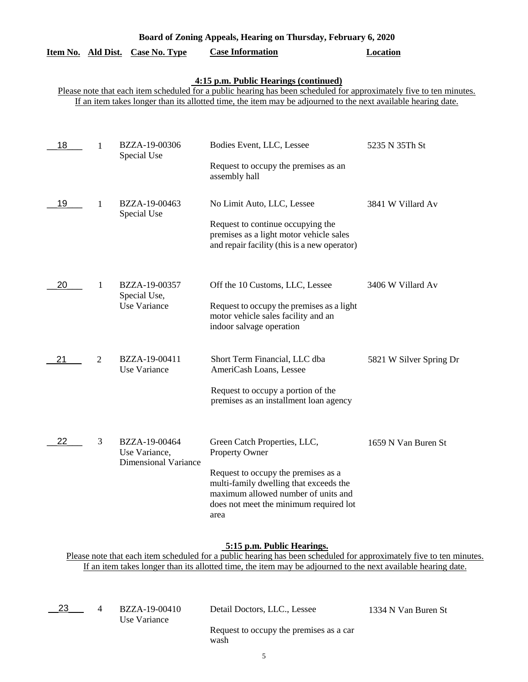|  |  | Board of Zoning Appeals, Hearing on Thursday, February 6, 2020 |  |
|--|--|----------------------------------------------------------------|--|
|  |  |                                                                |  |

# **Item No. Ald Dist. Case No. Type Case Information Location**

### **4:15 p.m. Public Hearings (continued)**

Please note that each item scheduled for a public hearing has been scheduled for approximately five to ten minutes. If an item takes longer than its allotted time, the item may be adjourned to the next available hearing date.

| 18 | 1              | BZZA-19-00306<br>Special Use                                  | Bodies Event, LLC, Lessee                                                                                                                                                                                                | 5235 N 35Th St          |
|----|----------------|---------------------------------------------------------------|--------------------------------------------------------------------------------------------------------------------------------------------------------------------------------------------------------------------------|-------------------------|
|    |                |                                                               | Request to occupy the premises as an<br>assembly hall                                                                                                                                                                    |                         |
| 19 | 1              | BZZA-19-00463<br>Special Use                                  | No Limit Auto, LLC, Lessee<br>Request to continue occupying the<br>premises as a light motor vehicle sales<br>and repair facility (this is a new operator)                                                               | 3841 W Villard Av       |
| 20 | 1              | BZZA-19-00357<br>Special Use,<br><b>Use Variance</b>          | Off the 10 Customs, LLC, Lessee<br>Request to occupy the premises as a light<br>motor vehicle sales facility and an<br>indoor salvage operation                                                                          | 3406 W Villard Av       |
| 21 | $\overline{2}$ | BZZA-19-00411<br>Use Variance                                 | Short Term Financial, LLC dba<br>AmeriCash Loans, Lessee<br>Request to occupy a portion of the<br>premises as an installment loan agency                                                                                 | 5821 W Silver Spring Dr |
| 22 | 3              | BZZA-19-00464<br>Use Variance,<br><b>Dimensional Variance</b> | Green Catch Properties, LLC,<br>Property Owner<br>Request to occupy the premises as a<br>multi-family dwelling that exceeds the<br>maximum allowed number of units and<br>does not meet the minimum required lot<br>area | 1659 N Van Buren St     |

**5:15 p.m. Public Hearings.**

Please note that each item scheduled for a public hearing has been scheduled for approximately five to ten minutes. If an item takes longer than its allotted time, the item may be adjourned to the next available hearing date.

 $-23$  4

Use Variance

BZZA-19-00410 Detail Doctors, LLC., Lessee 1334 N Van Buren St

Request to occupy the premises as a car wash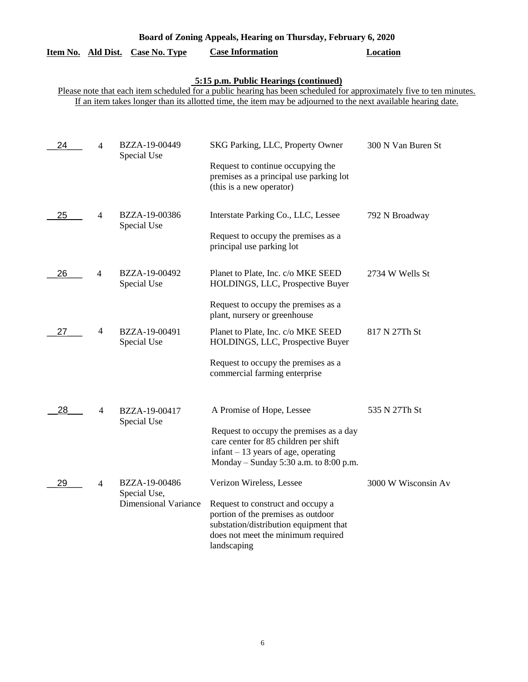#### **Board of Zoning Appeals, Hearing on Thursday, February 6, 2020**

# **Item No. Ald Dist. Case No. Type Case Information Location**

#### **5:15 p.m. Public Hearings (continued)**

Please note that each item scheduled for a public hearing has been scheduled for approximately five to ten minutes. If an item takes longer than its allotted time, the item may be adjourned to the next available hearing date.

| 24 | 4 | BZZA-19-00449<br>Special Use  | SKG Parking, LLC, Property Owner                                                                                                                                       | 300 N Van Buren St  |
|----|---|-------------------------------|------------------------------------------------------------------------------------------------------------------------------------------------------------------------|---------------------|
|    |   |                               | Request to continue occupying the<br>premises as a principal use parking lot<br>(this is a new operator)                                                               |                     |
| 25 | 4 | BZZA-19-00386<br>Special Use  | Interstate Parking Co., LLC, Lessee                                                                                                                                    | 792 N Broadway      |
|    |   |                               | Request to occupy the premises as a<br>principal use parking lot                                                                                                       |                     |
| 26 | 4 | BZZA-19-00492<br>Special Use  | Planet to Plate, Inc. c/o MKE SEED<br>HOLDINGS, LLC, Prospective Buyer                                                                                                 | 2734 W Wells St     |
|    |   |                               | Request to occupy the premises as a<br>plant, nursery or greenhouse                                                                                                    |                     |
| 27 | 4 | BZZA-19-00491<br>Special Use  | Planet to Plate, Inc. c/o MKE SEED<br>HOLDINGS, LLC, Prospective Buyer                                                                                                 | 817 N 27Th St       |
|    |   |                               | Request to occupy the premises as a<br>commercial farming enterprise                                                                                                   |                     |
| 28 | 4 | BZZA-19-00417<br>Special Use  | A Promise of Hope, Lessee                                                                                                                                              | 535 N 27Th St       |
|    |   |                               | Request to occupy the premises as a day<br>care center for 85 children per shift<br>$infant - 13$ years of age, operating<br>Monday $-$ Sunday 5:30 a.m. to 8:00 p.m.  |                     |
| 29 | 4 | BZZA-19-00486<br>Special Use, | Verizon Wireless, Lessee                                                                                                                                               | 3000 W Wisconsin Av |
|    |   | Dimensional Variance          | Request to construct and occupy a<br>portion of the premises as outdoor<br>substation/distribution equipment that<br>does not meet the minimum required<br>landscaping |                     |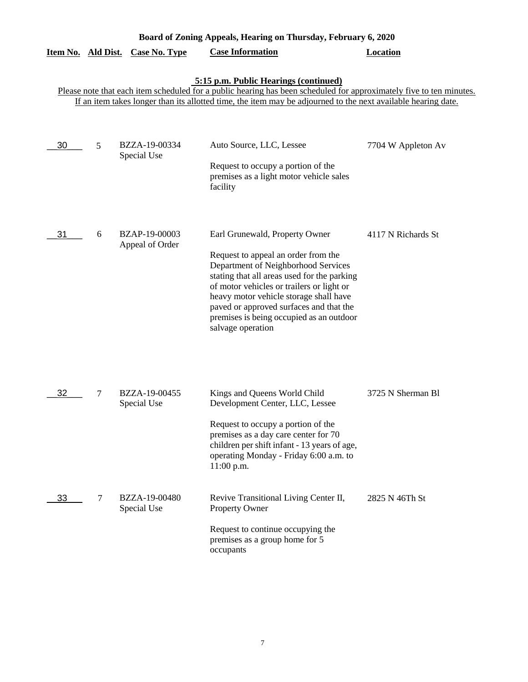| Board of Zoning Appeals, Hearing on Thursday, February 6, 2020 |                                                                                                                                                                                                                                                                               |                                  |                                                                                                                                                                                                                                                                                                                                                                |                    |  |  |  |
|----------------------------------------------------------------|-------------------------------------------------------------------------------------------------------------------------------------------------------------------------------------------------------------------------------------------------------------------------------|----------------------------------|----------------------------------------------------------------------------------------------------------------------------------------------------------------------------------------------------------------------------------------------------------------------------------------------------------------------------------------------------------------|--------------------|--|--|--|
| Item No. Ald Dist.                                             |                                                                                                                                                                                                                                                                               | <b>Case No. Type</b>             | <b>Case Information</b>                                                                                                                                                                                                                                                                                                                                        | <b>Location</b>    |  |  |  |
|                                                                | 5:15 p.m. Public Hearings (continued)<br>Please note that each item scheduled for a public hearing has been scheduled for approximately five to ten minutes.<br>If an item takes longer than its allotted time, the item may be adjourned to the next available hearing date. |                                  |                                                                                                                                                                                                                                                                                                                                                                |                    |  |  |  |
| 30                                                             | 5                                                                                                                                                                                                                                                                             | BZZA-19-00334<br>Special Use     | Auto Source, LLC, Lessee<br>Request to occupy a portion of the<br>premises as a light motor vehicle sales<br>facility                                                                                                                                                                                                                                          | 7704 W Appleton Av |  |  |  |
| 31                                                             | 6                                                                                                                                                                                                                                                                             | BZAP-19-00003<br>Appeal of Order | Earl Grunewald, Property Owner<br>Request to appeal an order from the<br>Department of Neighborhood Services<br>stating that all areas used for the parking<br>of motor vehicles or trailers or light or<br>heavy motor vehicle storage shall have<br>paved or approved surfaces and that the<br>premises is being occupied as an outdoor<br>salvage operation | 4117 N Richards St |  |  |  |
| 32                                                             | 7                                                                                                                                                                                                                                                                             | BZZA-19-00455<br>Special Use     | Kings and Queens World Child<br>Development Center, LLC, Lessee<br>Request to occupy a portion of the<br>premises as a day care center for 70<br>children per shift infant - 13 years of age,<br>operating Monday - Friday 6:00 a.m. to<br>11:00 p.m.                                                                                                          | 3725 N Sherman Bl  |  |  |  |
| 33                                                             | $\tau$                                                                                                                                                                                                                                                                        | BZZA-19-00480<br>Special Use     | Revive Transitional Living Center II,<br>Property Owner<br>Request to continue occupying the<br>premises as a group home for 5<br>occupants                                                                                                                                                                                                                    | 2825 N 46Th St     |  |  |  |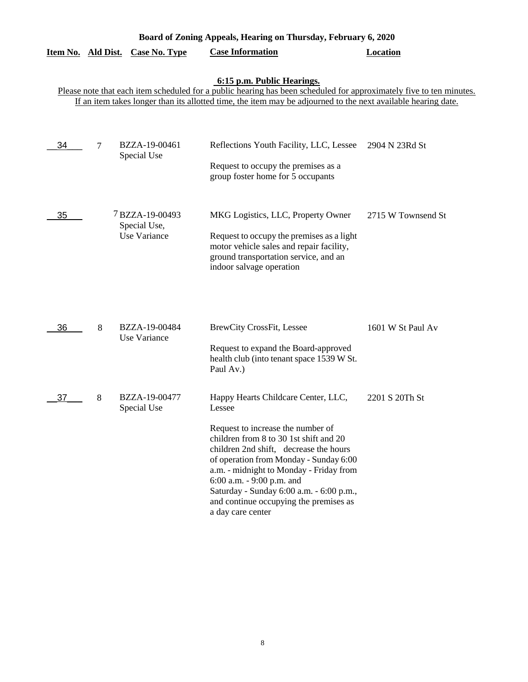| Board of Zoning Appeals, Hearing on Thursday, February 6, 2020 |   |                                                 |                                                                                                                                                                                                                                                                                                                                                                                                     |                    |  |
|----------------------------------------------------------------|---|-------------------------------------------------|-----------------------------------------------------------------------------------------------------------------------------------------------------------------------------------------------------------------------------------------------------------------------------------------------------------------------------------------------------------------------------------------------------|--------------------|--|
| <u>Item No. Ald Dist.</u>                                      |   | <b>Case No. Type</b>                            | <b>Case Information</b>                                                                                                                                                                                                                                                                                                                                                                             | <b>Location</b>    |  |
|                                                                |   |                                                 | 6:15 p.m. Public Hearings.<br>Please note that each item scheduled for a public hearing has been scheduled for approximately five to ten minutes.<br>If an item takes longer than its allotted time, the item may be adjourned to the next available hearing date.                                                                                                                                  |                    |  |
| 34                                                             | 7 | BZZA-19-00461<br>Special Use                    | Reflections Youth Facility, LLC, Lessee 2904 N 23Rd St<br>Request to occupy the premises as a<br>group foster home for 5 occupants                                                                                                                                                                                                                                                                  |                    |  |
| 35                                                             |   | 7 BZZA-19-00493<br>Special Use,<br>Use Variance | MKG Logistics, LLC, Property Owner<br>Request to occupy the premises as a light<br>motor vehicle sales and repair facility,<br>ground transportation service, and an<br>indoor salvage operation                                                                                                                                                                                                    | 2715 W Townsend St |  |
| 36                                                             | 8 | BZZA-19-00484<br>Use Variance                   | <b>BrewCity CrossFit, Lessee</b><br>Request to expand the Board-approved<br>health club (into tenant space 1539 W St.<br>Paul Av.)                                                                                                                                                                                                                                                                  | 1601 W St Paul Av  |  |
| 37                                                             | 8 | BZZA-19-00477<br>Special Use                    | Happy Hearts Childcare Center, LLC,<br>Lessee<br>Request to increase the number of<br>children from 8 to 30 1st shift and 20<br>children 2nd shift, decrease the hours<br>of operation from Monday - Sunday 6:00<br>a.m. - midnight to Monday - Friday from<br>6:00 a.m. - 9:00 p.m. and<br>Saturday - Sunday 6:00 a.m. - 6:00 p.m.,<br>and continue occupying the premises as<br>a day care center | 2201 S 20Th St     |  |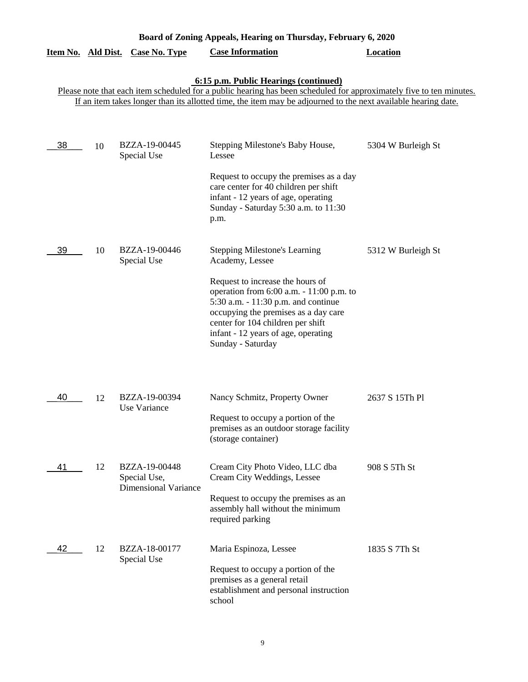| Board of Zoning Appeals, Hearing on Thursday, February 6, 2020 |    |                                                              |                                                                                                                                                                                                                                                                                                                         |                    |  |
|----------------------------------------------------------------|----|--------------------------------------------------------------|-------------------------------------------------------------------------------------------------------------------------------------------------------------------------------------------------------------------------------------------------------------------------------------------------------------------------|--------------------|--|
| <u>Item No. Ald Dist.</u>                                      |    | <b>Case No. Type</b>                                         | <b>Case Information</b>                                                                                                                                                                                                                                                                                                 | <b>Location</b>    |  |
|                                                                |    |                                                              | 6:15 p.m. Public Hearings (continued)<br>Please note that each item scheduled for a public hearing has been scheduled for approximately five to ten minutes.<br>If an item takes longer than its allotted time, the item may be adjourned to the next available hearing date.                                           |                    |  |
| 38                                                             | 10 | BZZA-19-00445<br>Special Use                                 | Stepping Milestone's Baby House,<br>Lessee<br>Request to occupy the premises as a day<br>care center for 40 children per shift<br>infant - 12 years of age, operating<br>Sunday - Saturday 5:30 a.m. to 11:30<br>p.m.                                                                                                   | 5304 W Burleigh St |  |
| 39                                                             | 10 | BZZA-19-00446<br>Special Use                                 | <b>Stepping Milestone's Learning</b><br>Academy, Lessee<br>Request to increase the hours of<br>operation from 6:00 a.m. - 11:00 p.m. to<br>5:30 a.m. - 11:30 p.m. and continue<br>occupying the premises as a day care<br>center for 104 children per shift<br>infant - 12 years of age, operating<br>Sunday - Saturday | 5312 W Burleigh St |  |
| 40                                                             | 12 | BZZA-19-00394<br>Use Variance                                | Nancy Schmitz, Property Owner<br>Request to occupy a portion of the<br>premises as an outdoor storage facility<br>(storage container)                                                                                                                                                                                   | 2637 S 15Th Pl     |  |
| 41                                                             | 12 | BZZA-19-00448<br>Special Use,<br><b>Dimensional Variance</b> | Cream City Photo Video, LLC dba<br>Cream City Weddings, Lessee<br>Request to occupy the premises as an<br>assembly hall without the minimum<br>required parking                                                                                                                                                         | 908 S 5Th St       |  |
| 42                                                             | 12 | BZZA-18-00177<br>Special Use                                 | Maria Espinoza, Lessee<br>Request to occupy a portion of the<br>premises as a general retail<br>establishment and personal instruction<br>school                                                                                                                                                                        | 1835 S 7Th St      |  |